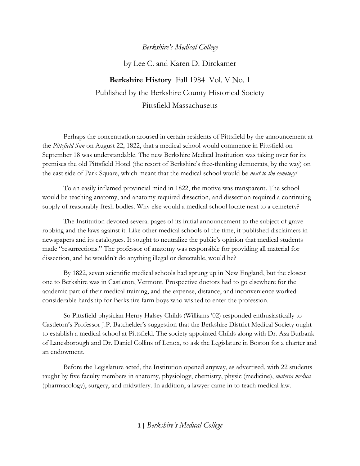## *Berkshire's Medical College*

by Lee C. and Karen D. Dirckamer

**Berkshire History** Fall 1984 Vol. V No. 1 Published by the Berkshire County Historical Society Pittsfield Massachusetts

Perhaps the concentration aroused in certain residents of Pittsfield by the announcement at the *Pittsfield Sun* on August 22, 1822, that a medical school would commence in Pittsfield on September 18 was understandable. The new Berkshire Medical Institution was taking over for its premises the old Pittsfield Hotel (the resort of Berkshire's free-thinking democrats, by the way) on the east side of Park Square, which meant that the medical school would be *next to the cemetery!*

To an easily inflamed provincial mind in 1822, the motive was transparent. The school would be teaching anatomy, and anatomy required dissection, and dissection required a continuing supply of reasonably fresh bodies. Why else would a medical school locate next to a cemetery?

The Institution devoted several pages of its initial announcement to the subject of grave robbing and the laws against it. Like other medical schools of the time, it published disclaimers in newspapers and its catalogues. It sought to neutralize the public's opinion that medical students made "resurrections." The professor of anatomy was responsible for providing all material for dissection, and he wouldn't do anything illegal or detectable, would he?

By 1822, seven scientific medical schools had sprung up in New England, but the closest one to Berkshire was in Castleton, Vermont. Prospective doctors had to go elsewhere for the academic part of their medical training, and the expense, distance, and inconvenience worked considerable hardship for Berkshire farm boys who wished to enter the profession.

So Pittsfield physician Henry Halsey Childs (Williams '02) responded enthusiastically to Castleton's Professor J.P. Batchelder's suggestion that the Berkshire District Medical Society ought to establish a medical school at Pittsfield. The society appointed Childs along with Dr. Asa Burbank of Lanesborough and Dr. Daniel Collins of Lenox, to ask the Legislature in Boston for a charter and an endowment.

Before the Legislature acted, the Institution opened anyway, as advertised, with 22 students taught by five faculty members in anatomy, physiology, chemistry, physic (medicine), *materia medica* (pharmacology), surgery, and midwifery. In addition, a lawyer came in to teach medical law.

**1 |** *Berkshire's Medical College*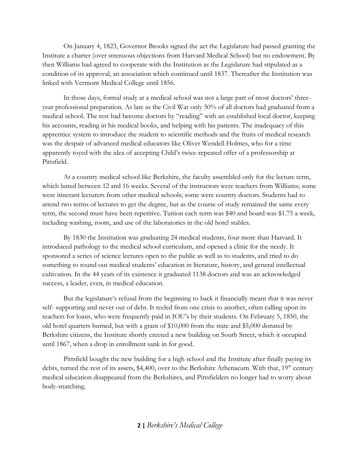On January 4, 1823, Governor Brooks signed the act the Legislature had passed granting the Institute a charter (over strenuous objections from Harvard Medical School) but no endowment. By then Williams had agreed to cooperate with the Institution as the Legislature had stipulated as a condition of its approval, an association which continued until 1837. Thereafter the Institution was linked with Vermont Medical College until 1856.

In those days, formal study at a medical school was not a large part of most doctors' threeyear professional preparation. As late as the Civil War only 50% of all doctors had graduated from a medical school. The rest had become doctors by "reading" with an established local doctor, keeping his accounts, reading in his medical books, and helping with his patients. The inadequacy of this apprentice system to introduce the student to scientific methods and the fruits of medical research was the despair of advanced medical educators like Oliver Wendell Holmes, who for a time apparently toyed with the idea of accepting Child's twice-repeated offer of a professorship at Pittsfield.

At a country medical school like Berkshire, the faculty assembled only for the lecture term, which lasted between 12 and 16 weeks. Several of the instructors were teachers from Williams; some were itinerant lecturers from other medical schools; some were country doctors. Students had to attend two terms of lectures to get the degree, but as the course of study remained the same every term, the second must have been repetitive. Tuition each term was \$40 and board was \$1.75 a week, including washing, room, and use of the laboratories in the old hotel stables.

By 1830 the Institution was graduating 24 medical students, four more than Harvard. It introduced pathology to the medical school curriculum, and opened a clinic for the needy. It sponsored a series of science lectures open to the public as well as to students, and tried to do something to round out medical students' education in literature, history, and general intellectual cultivation. In the 44 years of its existence it graduated 1138 doctors and was an acknowledged success, a leader, even, in medical education.

But the legislature's refusal from the beginning to back it financially meant that it was never self- supporting and never out of debt. It reeled from one crisis to another, often calling upon its teachers for loans, who were frequently paid in IOU's by their students. On February 5, 1850, the old hotel quarters burned, but with a grant of \$10,000 from the state and \$5,000 donated by Berkshire citizens, the Institute shortly erected a new building on South Street, which it occupied until 1867, when a drop in enrollment sank in for good.

Pittsfield bought the new building for a high school and the Institute after finally paying its debts, turned the rest of its assets,  $$4,400$ , over to the Berkshire Athenaeum. With that,  $19<sup>th</sup>$  century medical education disappeared from the Berkshires, and Pittsfielders no longer had to worry about body-snatching.

**2 |** *Berkshire's Medical College*